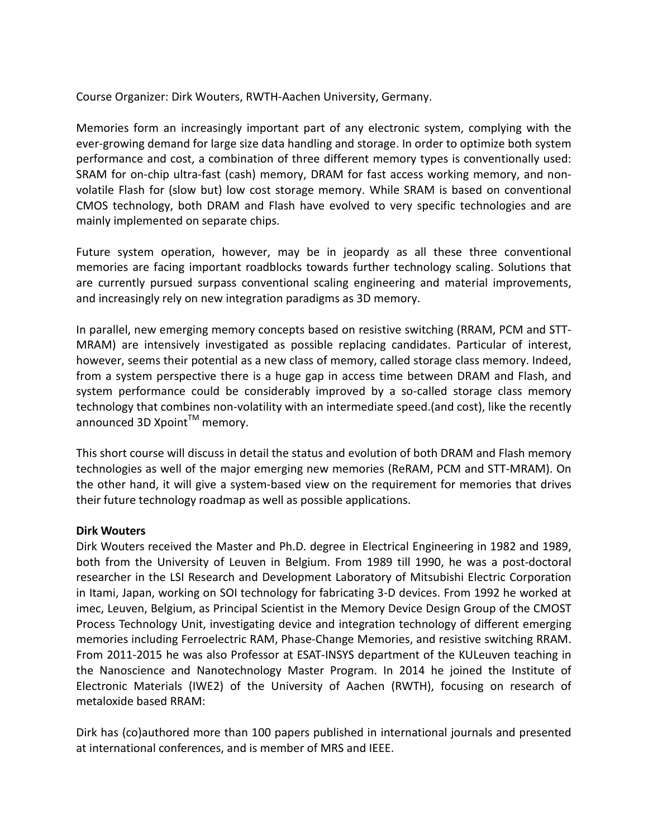Course Organizer: Dirk Wouters, RWTH-Aachen University, Germany.

Memories form an increasingly important part of any electronic system, complying with the ever-growing demand for large size data handling and storage. In order to optimize both system performance and cost, a combination of three different memory types is conventionally used: SRAM for on-chip ultra-fast (cash) memory, DRAM for fast access working memory, and nonvolatile Flash for (slow but) low cost storage memory. While SRAM is based on conventional CMOS technology, both DRAM and Flash have evolved to very specific technologies and are mainly implemented on separate chips.

Future system operation, however, may be in jeopardy as all these three conventional memories are facing important roadblocks towards further technology scaling. Solutions that are currently pursued surpass conventional scaling engineering and material improvements, and increasingly rely on new integration paradigms as 3D memory.

In parallel, new emerging memory concepts based on resistive switching (RRAM, PCM and STT-MRAM) are intensively investigated as possible replacing candidates. Particular of interest, however, seems their potential as a new class of memory, called storage class memory. Indeed, from a system perspective there is a huge gap in access time between DRAM and Flash, and system performance could be considerably improved by a so-called storage class memory technology that combines non-volatility with an intermediate speed.(and cost), like the recently announced 3D Xpoint $^{TM}$  memory.

This short course will discuss in detail the status and evolution of both DRAM and Flash memory technologies as well of the major emerging new memories (ReRAM, PCM and STT-MRAM). On the other hand, it will give a system-based view on the requirement for memories that drives their future technology roadmap as well as possible applications.

## **Dirk Wouters**

Dirk Wouters received the Master and Ph.D. degree in Electrical Engineering in 1982 and 1989, both from the University of Leuven in Belgium. From 1989 till 1990, he was a post-doctoral researcher in the LSI Research and Development Laboratory of Mitsubishi Electric Corporation in Itami, Japan, working on SOI technology for fabricating 3-D devices. From 1992 he worked at imec, Leuven, Belgium, as Principal Scientist in the Memory Device Design Group of the CMOST Process Technology Unit, investigating device and integration technology of different emerging memories including Ferroelectric RAM, Phase-Change Memories, and resistive switching RRAM. From 2011-2015 he was also Professor at ESAT-INSYS department of the KULeuven teaching in the Nanoscience and Nanotechnology Master Program. In 2014 he joined the Institute of Electronic Materials (IWE2) of the University of Aachen (RWTH), focusing on research of metaloxide based RRAM:

Dirk has (co)authored more than 100 papers published in international journals and presented at international conferences, and is member of MRS and IEEE.